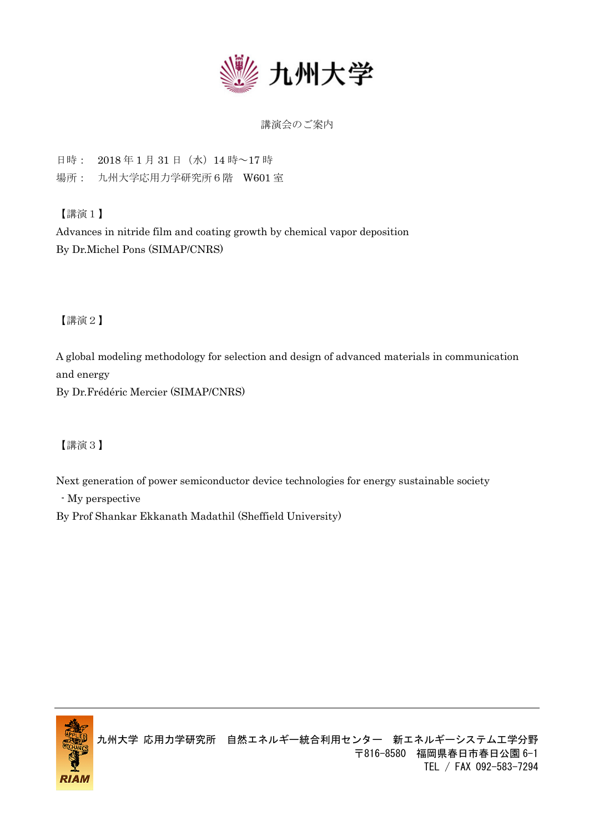

## 講演会のご案内

日時: 2018 年 1 月 31 日(水)14 時~17 時

場所: 九州大学応用力学研究所6階 W601 室

【講演1】

Advances in nitride film and coating growth by chemical vapor deposition By Dr.Michel Pons (SIMAP/CNRS)

【講演2】

A global modeling methodology for selection and design of advanced materials in communication and energy

By Dr.Frédéric Mercier (SIMAP/CNRS)

【講演3】

Next generation of power semiconductor device technologies for energy sustainable society

- My perspective

By Prof Shankar Ekkanath Madathil (Sheffield University)

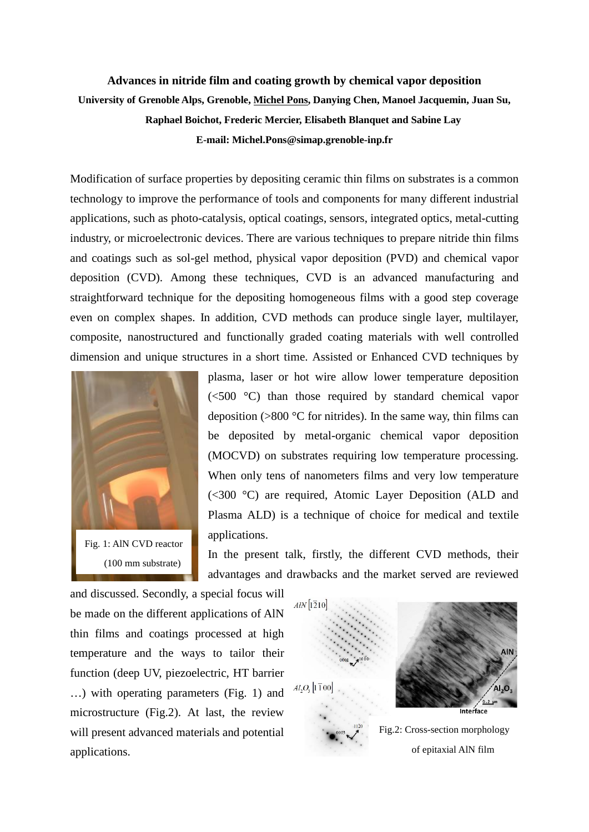## **Advances in nitride film and coating growth by chemical vapor deposition University of Grenoble Alps, Grenoble, Michel Pons, Danying Chen, Manoel Jacquemin, Juan Su, Raphael Boichot, Frederic Mercier, Elisabeth Blanquet and Sabine Lay E-mail: Michel.Pons@simap.grenoble-inp.fr**

Modification of surface properties by depositing ceramic thin films on substrates is a common technology to improve the performance of tools and components for many different industrial applications, such as photo-catalysis, optical coatings, sensors, integrated optics, metal-cutting industry, or microelectronic devices. There are various techniques to prepare nitride thin films and coatings such as sol-gel method, physical vapor deposition (PVD) and chemical vapor deposition (CVD). Among these techniques, CVD is an advanced manufacturing and straightforward technique for the depositing homogeneous films with a good step coverage even on complex shapes. In addition, CVD methods can produce single layer, multilayer, composite, nanostructured and functionally graded coating materials with well controlled dimension and unique structures in a short time. Assisted or Enhanced CVD techniques by



plasma, laser or hot wire allow lower temperature deposition (<500 °C) than those required by standard chemical vapor deposition  $(0.800 \degree C)$  for nitrides). In the same way, thin films can be deposited by metal-organic chemical vapor deposition (MOCVD) on substrates requiring low temperature processing. When only tens of nanometers films and very low temperature (<300 °C) are required, Atomic Layer Deposition (ALD and Plasma ALD) is a technique of choice for medical and textile applications.

In the present talk, firstly, the different CVD methods, their advantages and drawbacks and the market served are reviewed

and discussed. Secondly, a special focus will be made on the different applications of AlN thin films and coatings processed at high temperature and the ways to tailor their function (deep UV, piezoelectric, HT barrier …) with operating parameters (Fig. 1) and microstructure (Fig.2). At last, the review will present advanced materials and potential applications.

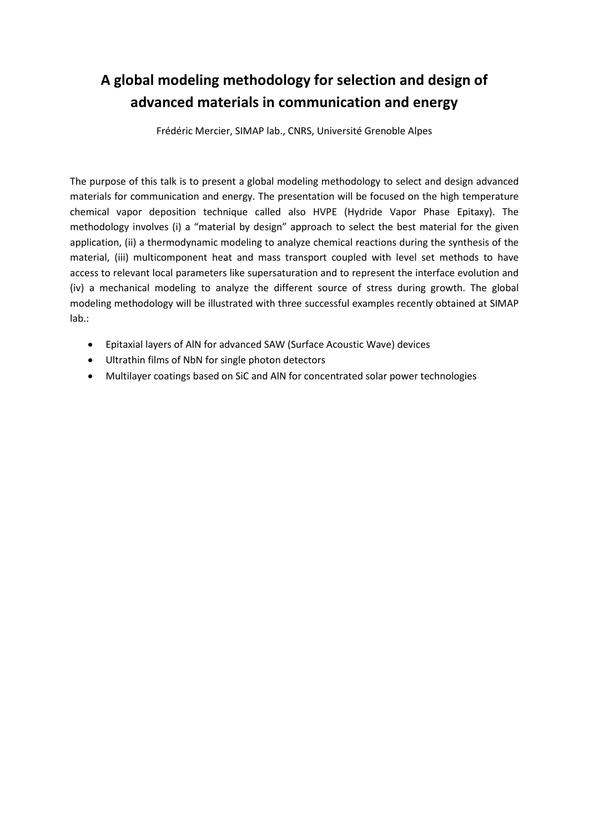## **A global modeling methodology for selection and design of advanced materials in communication and energy**

Frédéric Mercier, SIMAP lab., CNRS, Université Grenoble Alpes

The purpose of this talk is to present a global modeling methodology to select and design advanced materials for communication and energy. The presentation will be focused on the high temperature chemical vapor deposition technique called also HVPE (Hydride Vapor Phase Epitaxy). The methodology involves (i) a "material by design" approach to select the best material for the given application, (ii) a thermodynamic modeling to analyze chemical reactions during the synthesis of the material, (iii) multicomponent heat and mass transport coupled with level set methods to have access to relevant local parameters like supersaturation and to represent the interface evolution and (iv) a mechanical modeling to analyze the different source of stress during growth. The global modeling methodology will be illustrated with three successful examples recently obtained at SIMAP lab.:

- Epitaxial layers of AlN for advanced SAW (Surface Acoustic Wave) devices
- Ultrathin films of NbN for single photon detectors
- Multilayer coatings based on SiC and AlN for concentrated solar power technologies